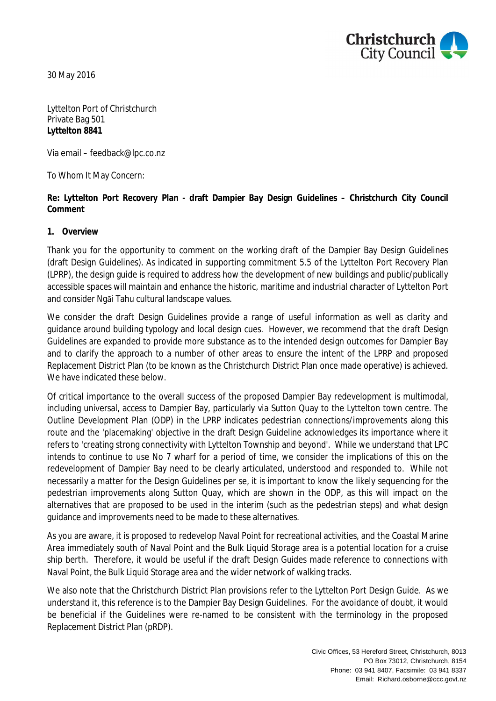

30 May 2016

Lyttelton Port of Christchurch Private Bag 501 **Lyttelton 8841**

Via email – feedback@lpc.co.nz

To Whom It May Concern:

**Re: Lyttelton Port Recovery Plan - draft Dampier Bay Design Guidelines – Christchurch City Council Comment**

**1. Overview**

Thank you for the opportunity to comment on the working draft of the Dampier Bay Design Guidelines (draft Design Guidelines). As indicated in supporting commitment 5.5 of the Lyttelton Port Recovery Plan (LPRP), the design guide is required to address how the development of new buildings and public/publically accessible spaces will maintain and enhance the historic, maritime and industrial character of Lyttelton Port and consider Ngāi Tahu cultural landscape values.

We consider the draft Design Guidelines provide a range of useful information as well as clarity and guidance around building typology and local design cues. However, we recommend that the draft Design Guidelines are expanded to provide more substance as to the intended design outcomes for Dampier Bay and to clarify the approach to a number of other areas to ensure the intent of the LPRP and proposed Replacement District Plan (to be known as the Christchurch District Plan once made operative) is achieved. We have indicated these below.

Of critical importance to the overall success of the proposed Dampier Bay redevelopment is multimodal, including universal, access to Dampier Bay, particularly via Sutton Quay to the Lyttelton town centre. The Outline Development Plan (ODP) in the LPRP indicates pedestrian connections/improvements along this route and the 'placemaking' objective in the draft Design Guideline acknowledges its importance where it refers to 'creating strong connectivity with Lyttelton Township and beyond'. While we understand that LPC intends to continue to use No 7 wharf for a period of time, we consider the implications of this on the redevelopment of Dampier Bay need to be clearly articulated, understood and responded to. While not necessarily a matter for the Design Guidelines per se, it is important to know the likely sequencing for the pedestrian improvements along Sutton Quay, which are shown in the ODP, as this will impact on the alternatives that are proposed to be used in the interim (such as the pedestrian steps) and what design guidance and improvements need to be made to these alternatives.

As you are aware, it is proposed to redevelop Naval Point for recreational activities, and the Coastal Marine Area immediately south of Naval Point and the Bulk Liquid Storage area is a potential location for a cruise ship berth. Therefore, it would be useful if the draft Design Guides made reference to connections with Naval Point, the Bulk Liquid Storage area and the wider network of walking tracks.

We also note that the Christchurch District Plan provisions refer to the Lyttelton Port Design Guide. As we understand it, this reference is to the Dampier Bay Design Guidelines. For the avoidance of doubt, it would be beneficial if the Guidelines were re-named to be consistent with the terminology in the proposed Replacement District Plan (pRDP).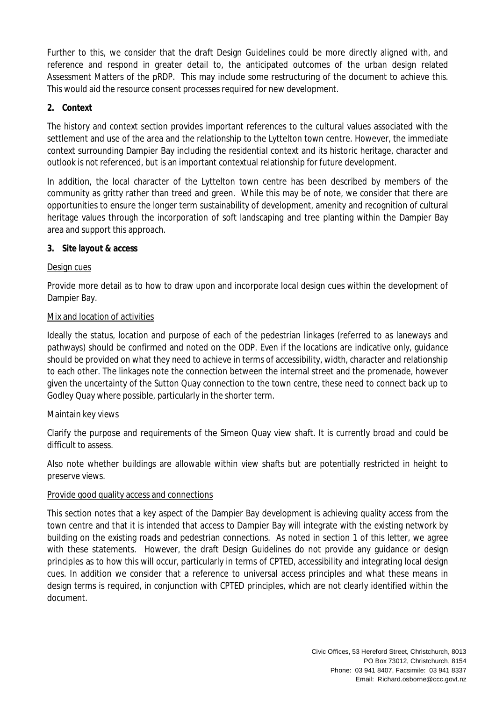Further to this, we consider that the draft Design Guidelines could be more directly aligned with, and reference and respond in greater detail to, the anticipated outcomes of the urban design related Assessment Matters of the pRDP. This may include some restructuring of the document to achieve this. This would aid the resource consent processes required for new development.

# **2. Context**

The history and context section provides important references to the cultural values associated with the settlement and use of the area and the relationship to the Lyttelton town centre. However, the immediate context surrounding Dampier Bay including the residential context and its historic heritage, character and outlook is not referenced, but is an important contextual relationship for future development.

In addition, the local character of the Lyttelton town centre has been described by members of the community as gritty rather than treed and green. While this may be of note, we consider that there are opportunities to ensure the longer term sustainability of development, amenity and recognition of cultural heritage values through the incorporation of soft landscaping and tree planting within the Dampier Bay area and support this approach.

## **3. Site layout & access**

## Design cues

Provide more detail as to how to draw upon and incorporate local design cues within the development of Dampier Bay.

## Mix and location of activities

Ideally the status, location and purpose of each of the pedestrian linkages (referred to as laneways and pathways) should be confirmed and noted on the ODP. Even if the locations are indicative only, guidance should be provided on what they need to achieve in terms of accessibility, width, character and relationship to each other. The linkages note the connection between the internal street and the promenade, however given the uncertainty of the Sutton Quay connection to the town centre, these need to connect back up to Godley Quay where possible, particularly in the shorter term.

## Maintain key views

Clarify the purpose and requirements of the Simeon Quay view shaft. It is currently broad and could be difficult to assess.

Also note whether buildings are allowable within view shafts but are potentially restricted in height to preserve views.

## Provide good quality access and connections

This section notes that a key aspect of the Dampier Bay development is achieving quality access from the town centre and that it is intended that access to Dampier Bay will integrate with the existing network by building on the existing roads and pedestrian connections. As noted in section 1 of this letter, we agree with these statements. However, the draft Design Guidelines do not provide any guidance or design principles as to how this will occur, particularly in terms of CPTED, accessibility and integrating local design cues. In addition we consider that a reference to universal access principles and what these means in design terms is required, in conjunction with CPTED principles, which are not clearly identified within the document.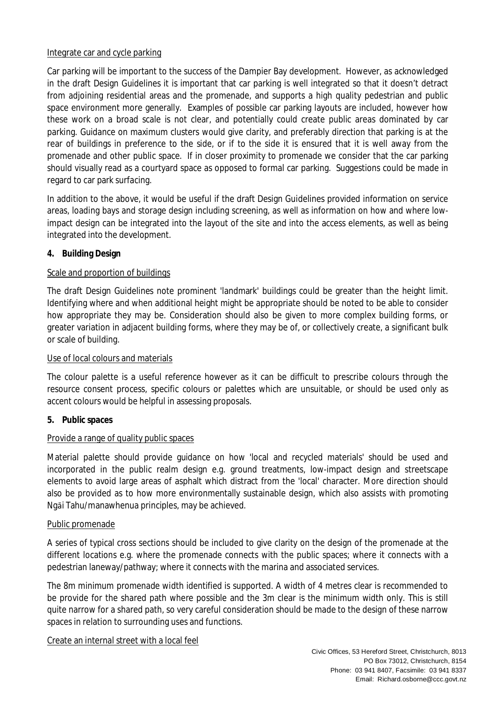## Integrate car and cycle parking

Car parking will be important to the success of the Dampier Bay development. However, as acknowledged in the draft Design Guidelines it is important that car parking is well integrated so that it doesn't detract from adjoining residential areas and the promenade, and supports a high quality pedestrian and public space environment more generally. Examples of possible car parking layouts are included, however how these work on a broad scale is not clear, and potentially could create public areas dominated by car parking. Guidance on maximum clusters would give clarity, and preferably direction that parking is at the rear of buildings in preference to the side, or if to the side it is ensured that it is well away from the promenade and other public space. If in closer proximity to promenade we consider that the car parking should visually read as a courtyard space as opposed to formal car parking. Suggestions could be made in regard to car park surfacing.

In addition to the above, it would be useful if the draft Design Guidelines provided information on service areas, loading bays and storage design including screening, as well as information on how and where lowimpact design can be integrated into the layout of the site and into the access elements, as well as being integrated into the development.

**4. Building Design**

# Scale and proportion of buildings

The draft Design Guidelines note prominent 'landmark' buildings could be greater than the height limit. Identifying where and when additional height might be appropriate should be noted to be able to consider how appropriate they may be. Consideration should also be given to more complex building forms, or greater variation in adjacent building forms, where they may be of, or collectively create, a significant bulk or scale of building.

## Use of local colours and materials

The colour palette is a useful reference however as it can be difficult to prescribe colours through the resource consent process, specific colours or palettes which are unsuitable, or should be used only as accent colours would be helpful in assessing proposals.

**5. Public spaces**

## Provide a range of quality public spaces

Material palette should provide guidance on how 'local and recycled materials' should be used and incorporated in the public realm design e.g. ground treatments, low-impact design and streetscape elements to avoid large areas of asphalt which distract from the 'local' character. More direction should also be provided as to how more environmentally sustainable design, which also assists with promoting Ngāi Tahu/manawhenua principles, may be achieved.

## Public promenade

A series of typical cross sections should be included to give clarity on the design of the promenade at the different locations e.g. where the promenade connects with the public spaces; where it connects with a pedestrian laneway/pathway; where it connects with the marina and associated services.

The 8m minimum promenade width identified is supported. A width of 4 metres clear is recommended to be provide for the shared path where possible and the 3m clear is the minimum width only. This is still quite narrow for a shared path, so very careful consideration should be made to the design of these narrow spaces in relation to surrounding uses and functions.

Create an internal street with a local feel